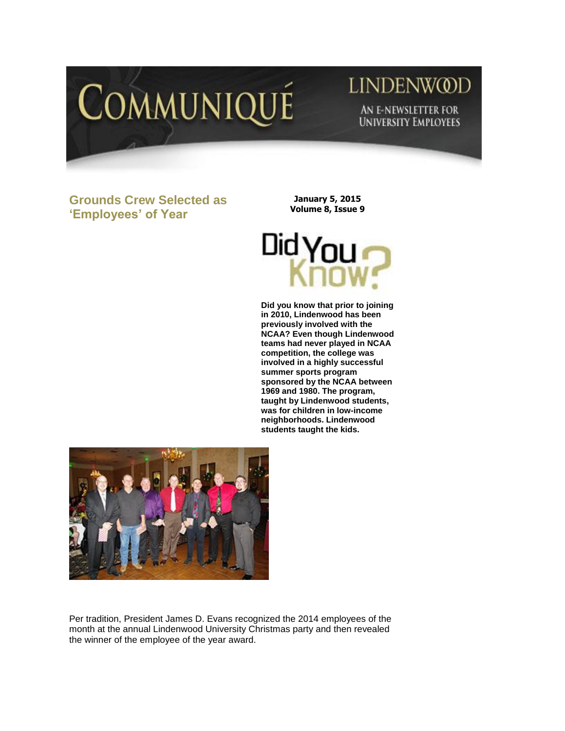

# **LINDENWOD** AN E-NEWSLETTER FOR **UNIVERSITY EMPLOYEES**

**Grounds Crew Selected as 'Employees' of Year** 

**January 5, 2015 Volume 8, Issue 9**



**Did you know that prior to joining in 2010, Lindenwood has been previously involved with the NCAA? Even though Lindenwood teams had never played in NCAA competition, the college was involved in a highly successful summer sports program sponsored by the NCAA between 1969 and 1980. The program, taught by Lindenwood students, was for children in low-income neighborhoods. Lindenwood students taught the kids.** 



Per tradition, President James D. Evans recognized the 2014 employees of the month at the annual Lindenwood University Christmas party and then revealed the winner of the employee of the year award.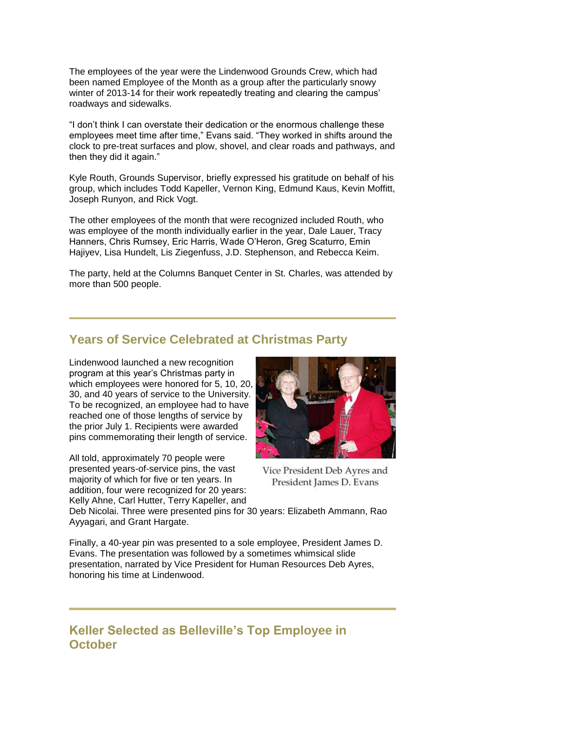The employees of the year were the Lindenwood Grounds Crew, which had been named Employee of the Month as a group after the particularly snowy winter of 2013-14 for their work repeatedly treating and clearing the campus' roadways and sidewalks.

"I don't think I can overstate their dedication or the enormous challenge these employees meet time after time," Evans said. "They worked in shifts around the clock to pre-treat surfaces and plow, shovel, and clear roads and pathways, and then they did it again."

Kyle Routh, Grounds Supervisor, briefly expressed his gratitude on behalf of his group, which includes Todd Kapeller, Vernon King, Edmund Kaus, Kevin Moffitt, Joseph Runyon, and Rick Vogt.

The other employees of the month that were recognized included Routh, who was employee of the month individually earlier in the year, Dale Lauer, Tracy Hanners, Chris Rumsey, Eric Harris, Wade O'Heron, Greg Scaturro, Emin Hajiyev, Lisa Hundelt, Lis Ziegenfuss, J.D. Stephenson, and Rebecca Keim.

The party, held at the Columns Banquet Center in St. Charles, was attended by more than 500 people.

#### **Years of Service Celebrated at Christmas Party**

Lindenwood launched a new recognition program at this year's Christmas party in which employees were honored for 5, 10, 20, 30, and 40 years of service to the University. To be recognized, an employee had to have reached one of those lengths of service by the prior July 1. Recipients were awarded pins commemorating their length of service.

All told, approximately 70 people were presented years-of-service pins, the vast majority of which for five or ten years. In addition, four were recognized for 20 years: Kelly Ahne, Carl Hutter, Terry Kapeller, and



Vice President Deb Ayres and President James D. Evans

Deb Nicolai. Three were presented pins for 30 years: Elizabeth Ammann, Rao Ayyagari, and Grant Hargate.

Finally, a 40-year pin was presented to a sole employee, President James D. Evans. The presentation was followed by a sometimes whimsical slide presentation, narrated by Vice President for Human Resources Deb Ayres, honoring his time at Lindenwood.

#### **Keller Selected as Belleville's Top Employee in October**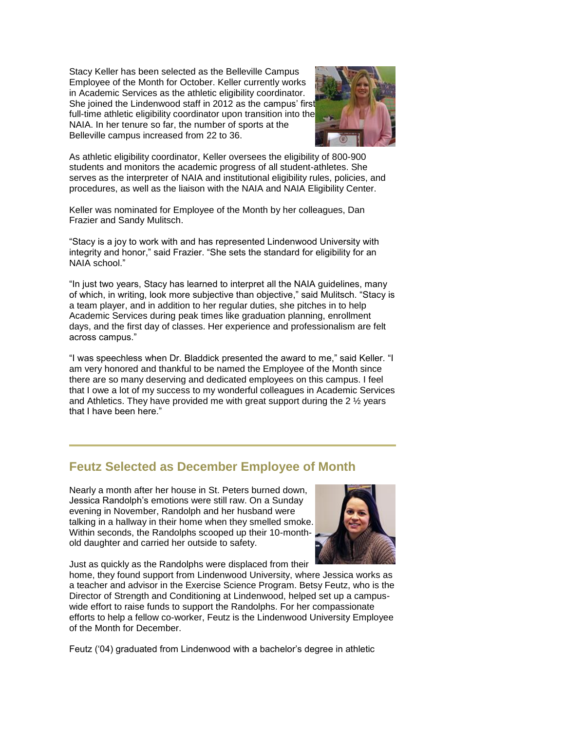Stacy Keller has been selected as the Belleville Campus Employee of the Month for October. Keller currently works in Academic Services as the athletic eligibility coordinator. She joined the Lindenwood staff in 2012 as the campus' first full-time athletic eligibility coordinator upon transition into the NAIA. In her tenure so far, the number of sports at the Belleville campus increased from 22 to 36.



As athletic eligibility coordinator, Keller oversees the eligibility of 800-900 students and monitors the academic progress of all student-athletes. She serves as the interpreter of NAIA and institutional eligibility rules, policies, and procedures, as well as the liaison with the NAIA and NAIA Eligibility Center.

Keller was nominated for Employee of the Month by her colleagues, Dan Frazier and Sandy Mulitsch.

"Stacy is a joy to work with and has represented Lindenwood University with integrity and honor," said Frazier. "She sets the standard for eligibility for an NAIA school."

"In just two years, Stacy has learned to interpret all the NAIA guidelines, many of which, in writing, look more subjective than objective," said Mulitsch. "Stacy is a team player, and in addition to her regular duties, she pitches in to help Academic Services during peak times like graduation planning, enrollment days, and the first day of classes. Her experience and professionalism are felt across campus."

"I was speechless when Dr. Bladdick presented the award to me," said Keller. "I am very honored and thankful to be named the Employee of the Month since there are so many deserving and dedicated employees on this campus. I feel that I owe a lot of my success to my wonderful colleagues in Academic Services and Athletics. They have provided me with great support during the 2 ½ years that I have been here."

### **Feutz Selected as December Employee of Month**

Nearly a month after her house in St. Peters burned down, Jessica Randolph's emotions were still raw. On a Sunday evening in November, Randolph and her husband were talking in a hallway in their home when they smelled smoke. Within seconds, the Randolphs scooped up their 10-monthold daughter and carried her outside to safety.



Just as quickly as the Randolphs were displaced from their

home, they found support from Lindenwood University, where Jessica works as a teacher and advisor in the Exercise Science Program. Betsy Feutz, who is the Director of Strength and Conditioning at Lindenwood, helped set up a campuswide effort to raise funds to support the Randolphs. For her compassionate efforts to help a fellow co-worker, Feutz is the Lindenwood University Employee of the Month for December.

Feutz ('04) graduated from Lindenwood with a bachelor's degree in athletic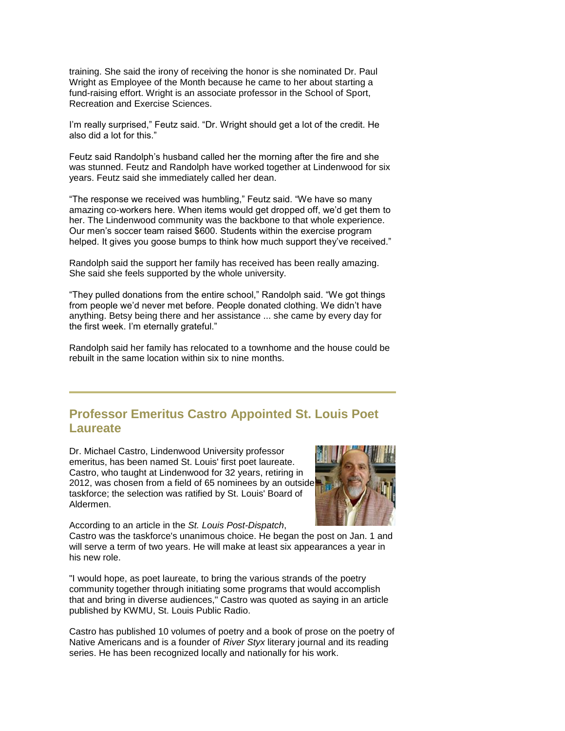training. She said the irony of receiving the honor is she nominated Dr. Paul Wright as Employee of the Month because he came to her about starting a fund-raising effort. Wright is an associate professor in the School of Sport, Recreation and Exercise Sciences.

I'm really surprised," Feutz said. "Dr. Wright should get a lot of the credit. He also did a lot for this."

Feutz said Randolph's husband called her the morning after the fire and she was stunned. Feutz and Randolph have worked together at Lindenwood for six years. Feutz said she immediately called her dean.

"The response we received was humbling," Feutz said. "We have so many amazing co-workers here. When items would get dropped off, we'd get them to her. The Lindenwood community was the backbone to that whole experience. Our men's soccer team raised \$600. Students within the exercise program helped. It gives you goose bumps to think how much support they've received."

Randolph said the support her family has received has been really amazing. She said she feels supported by the whole university.

"They pulled donations from the entire school," Randolph said. "We got things from people we'd never met before. People donated clothing. We didn't have anything. Betsy being there and her assistance ... she came by every day for the first week. I'm eternally grateful."

Randolph said her family has relocated to a townhome and the house could be rebuilt in the same location within six to nine months.

## **Professor Emeritus Castro Appointed St. Louis Poet Laureate**

Dr. Michael Castro, Lindenwood University professor emeritus, has been named St. Louis' first poet laureate. Castro, who taught at Lindenwood for 32 years, retiring in 2012, was chosen from a field of 65 nominees by an outside taskforce; the selection was ratified by St. Louis' Board of Aldermen.



According to an article in the *St. Louis Post-Dispatch*,

Castro was the taskforce's unanimous choice. He began the post on Jan. 1 and will serve a term of two years. He will make at least six appearances a year in his new role.

"I would hope, as poet laureate, to bring the various strands of the poetry community together through initiating some programs that would accomplish that and bring in diverse audiences," Castro was quoted as saying in an article published by KWMU, St. Louis Public Radio.

Castro has published 10 volumes of poetry and a book of prose on the poetry of Native Americans and is a founder of *River Styx* literary journal and its reading series. He has been recognized locally and nationally for his work.